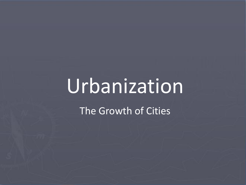# Urbanization The Growth of Cities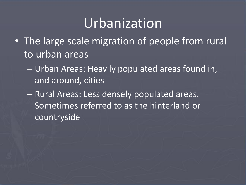#### Urbanization

- The large scale migration of people from rural to urban areas
	- Urban Areas: Heavily populated areas found in, and around, cities
	- Rural Areas: Less densely populated areas. Sometimes referred to as the hinterland or countryside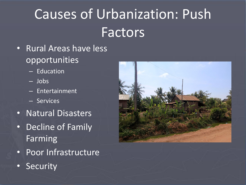# Causes of Urbanization: Push Factors

- Rural Areas have less opportunities
	- Education
	- Jobs
	- Entertainment
	- Services
- Natural Disasters
- Decline of Family Farming
- Poor Infrastructure
- Security

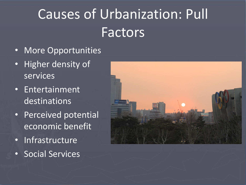## Causes of Urbanization: Pull Factors

- More Opportunities
- Higher density of services
- Entertainment destinations
- Perceived potential economic benefit
- Infrastructure
- Social Services

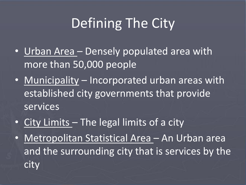## Defining The City

- Urban Area Densely populated area with more than 50,000 people
- Municipality Incorporated urban areas with established city governments that provide services
- City Limits The legal limits of a city
- Metropolitan Statistical Area An Urban area and the surrounding city that is services by the city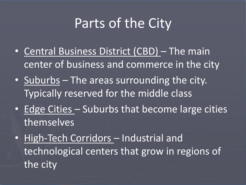### Parts of the City

- Central Business District (CBD) The main center of business and commerce in the city
- Suburbs The areas surrounding the city. Typically reserved for the middle class
- Edge Cities Suburbs that become large cities themselves
- High-Tech Corridors Industrial and technological centers that grow in regions of the city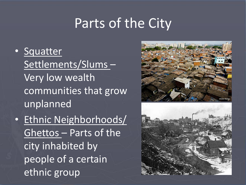#### Parts of the City

- Squatter Settlements/Slums – Very low wealth communities that grow unplanned
- Ethnic Neighborhoods/ Ghettos – Parts of the city inhabited by people of a certain ethnic group